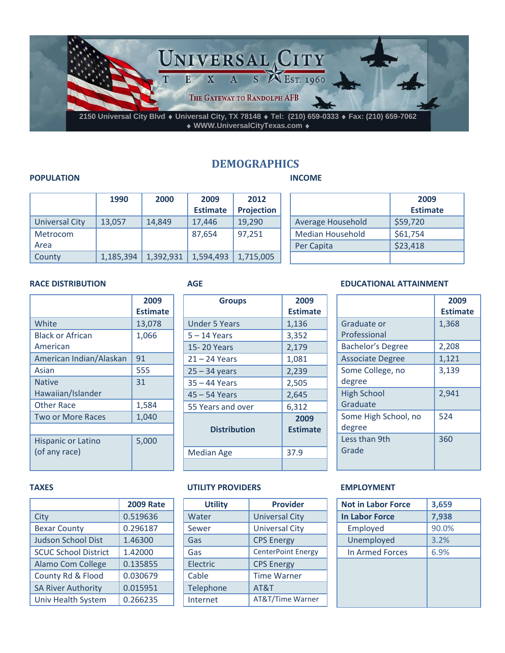

# **DEMOGRAPHICS**

#### **INCOME**

#### **POPULATION**

|                | 1990      | 2000      | 2009            | 2012       |
|----------------|-----------|-----------|-----------------|------------|
|                |           |           | <b>Estimate</b> | Projection |
| Universal City | 13,057    | 14,849    | 17,446          | 19,290     |
| Metrocom       |           |           | 87,654          | 97,251     |
| Area           |           |           |                 |            |
| County         | 1,185,394 | 1,392,931 | 1,594,493       | 1,715,005  |

|                   | 2009            |
|-------------------|-----------------|
|                   | <b>Estimate</b> |
| Average Household | \$59,720        |
| Median Household  | \$61,754        |
| Per Capita        | \$23,418        |
|                   |                 |

#### **RACE DISTRIBUTION**

|                                            | 2009<br><b>Estimate</b> |
|--------------------------------------------|-------------------------|
| White                                      | 13,078                  |
| <b>Black or African</b><br>American        | 1,066                   |
| American Indian/Alaskan                    | 91                      |
| Asian                                      | 555                     |
| <b>Native</b><br>Hawaiian/Islander         | 31                      |
| Other Race                                 | 1,584                   |
| <b>Two or More Races</b>                   | 1,040                   |
| <b>Hispanic or Latino</b><br>(of any race) | 5,000                   |

## **AGE**

| <b>Groups</b>        | 2009<br><b>Estimate</b> |
|----------------------|-------------------------|
| <b>Under 5 Years</b> | 1,136                   |
| 5 – 14 Years         | 3,352                   |
| 15-20 Years          | 2,179                   |
| $21 - 24$ Years      | 1,081                   |
| $25 - 34$ years      | 2,239                   |
| 35 - 44 Years        | 2,505                   |
| 45 – 54 Years        | 2,645                   |
| 55 Years and over    | 6,312                   |
| <b>Distribution</b>  | 2009<br><b>Estimate</b> |
| <b>Median Age</b>    | 37.9                    |
|                      |                         |

### **UTILITY PROVIDERS**

| <b>Utility</b> | <b>Provider</b>           |
|----------------|---------------------------|
| Water          | <b>Universal City</b>     |
| Sewer          | <b>Universal City</b>     |
| Gas            | <b>CPS</b> Energy         |
| Gas            | <b>CenterPoint Energy</b> |
| Electric       | <b>CPS</b> Energy         |
| Cable          | <b>Time Warner</b>        |
| Telephone      | AT&T                      |
| Internet       | AT&T/Time Warner          |

#### **EDUCATIONAL ATTAINMENT**

|                          | 2009<br><b>Estimate</b> |
|--------------------------|-------------------------|
| Graduate or              | 1,368                   |
| Professional             |                         |
| <b>Bachelor's Degree</b> | 2,208                   |
| <b>Associate Degree</b>  | 1,121                   |
| Some College, no         | 3,139                   |
| degree                   |                         |
| <b>High School</b>       | 2,941                   |
| Graduate                 |                         |
| Some High School, no     | 524                     |
| degree                   |                         |
| Less than 9th            | 360                     |
| Grade                    |                         |
|                          |                         |

### **EMPLOYMENT**

| <b>Not in Labor Force</b> | 3,659 |
|---------------------------|-------|
| <b>In Labor Force</b>     | 7,938 |
| Employed                  | 90.0% |
| Unemployed                | 3.2%  |
| In Armed Forces           | 6.9%  |
|                           |       |
|                           |       |
|                           |       |
|                           |       |

#### **TAXES**

|                             | <b>2009 Rate</b> |
|-----------------------------|------------------|
| City                        | 0.519636         |
| <b>Bexar County</b>         | 0.296187         |
| <b>Judson School Dist</b>   | 1.46300          |
| <b>SCUC School District</b> | 1.42000          |
| Alamo Com College           | 0.135855         |
| County Rd & Flood           | 0.030679         |
| <b>SA River Authority</b>   | 0.015951         |
| Univ Health System          | 0.266235         |
|                             |                  |